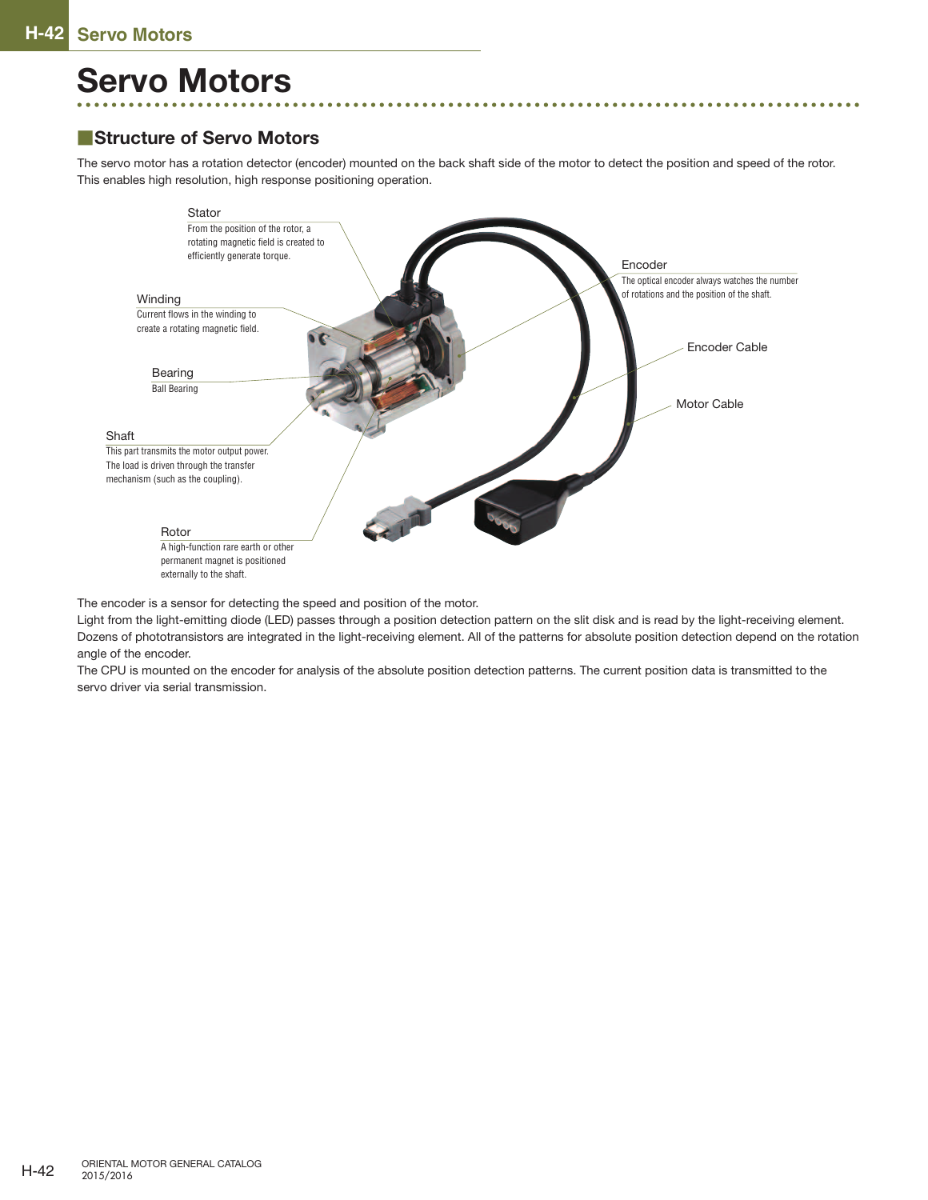## **Servo Motors**

## ■**Structure of Servo Motors**

The servo motor has a rotation detector (encoder) mounted on the back shaft side of the motor to detect the position and speed of the rotor. This enables high resolution, high response positioning operation.



The encoder is a sensor for detecting the speed and position of the motor.

Light from the light-emitting diode (LED) passes through a position detection pattern on the slit disk and is read by the light-receiving element. Dozens of phototransistors are integrated in the light-receiving element. All of the patterns for absolute position detection depend on the rotation angle of the encoder.

The CPU is mounted on the encoder for analysis of the absolute position detection patterns. The current position data is transmitted to the servo driver via serial transmission.